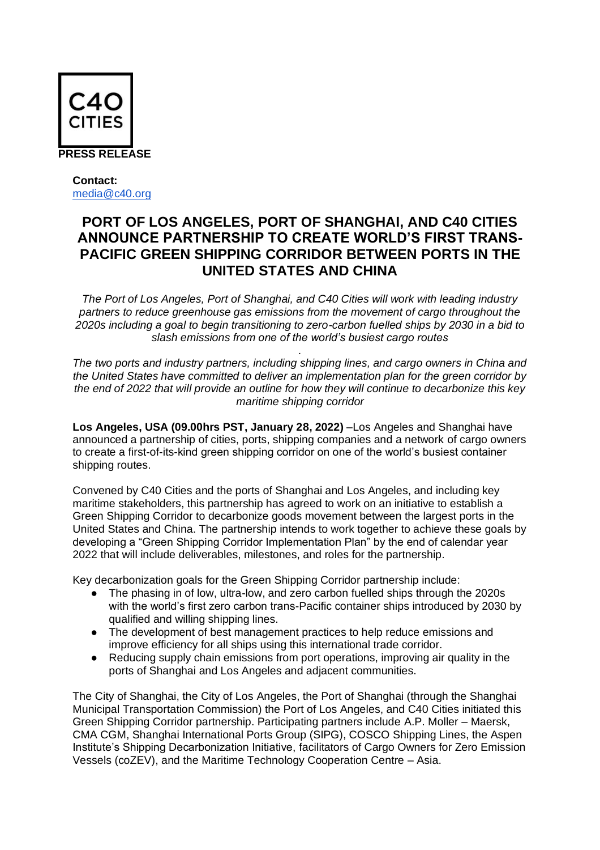

## **Contact:** [media@c40.org](mailto:media@c40.org)

# **PORT OF LOS ANGELES, PORT OF SHANGHAI, AND C40 CITIES ANNOUNCE PARTNERSHIP TO CREATE WORLD'S FIRST TRANS-PACIFIC GREEN SHIPPING CORRIDOR BETWEEN PORTS IN THE UNITED STATES AND CHINA**

*The Port of Los Angeles, Port of Shanghai, and C40 Cities will work with leading industry partners to reduce greenhouse gas emissions from the movement of cargo throughout the 2020s including a goal to begin transitioning to zero-carbon fuelled ships by 2030 in a bid to slash emissions from one of the world's busiest cargo routes* 

*The two ports and industry partners, including shipping lines, and cargo owners in China and the United States have committed to deliver an implementation plan for the green corridor by the end of 2022 that will provide an outline for how they will continue to decarbonize this key maritime shipping corridor*

*.*

**Los Angeles, USA (09.00hrs PST, January 28, 2022)** –Los Angeles and Shanghai have announced a partnership of cities, ports, shipping companies and a network of cargo owners to create a first-of-its-kind green shipping corridor on one of the world's busiest container shipping routes.

Convened by C40 Cities and the ports of Shanghai and Los Angeles, and including key maritime stakeholders, this partnership has agreed to work on an initiative to establish a Green Shipping Corridor to decarbonize goods movement between the largest ports in the United States and China. The partnership intends to work together to achieve these goals by developing a "Green Shipping Corridor Implementation Plan" by the end of calendar year 2022 that will include deliverables, milestones, and roles for the partnership.

Key decarbonization goals for the Green Shipping Corridor partnership include:

- The phasing in of low, ultra-low, and zero carbon fuelled ships through the 2020s with the world's first zero carbon trans-Pacific container ships introduced by 2030 by qualified and willing shipping lines.
- The development of best management practices to help reduce emissions and improve efficiency for all ships using this international trade corridor.
- Reducing supply chain emissions from port operations, improving air quality in the ports of Shanghai and Los Angeles and adjacent communities.

The City of Shanghai, the City of Los Angeles, the Port of Shanghai (through the Shanghai Municipal Transportation Commission) the Port of Los Angeles, and C40 Cities initiated this Green Shipping Corridor partnership. Participating partners include A.P. Moller – Maersk, CMA CGM, Shanghai International Ports Group (SIPG), COSCO Shipping Lines, the Aspen Institute's Shipping Decarbonization Initiative, facilitators of Cargo Owners for Zero Emission Vessels (coZEV), and the Maritime Technology Cooperation Centre – Asia.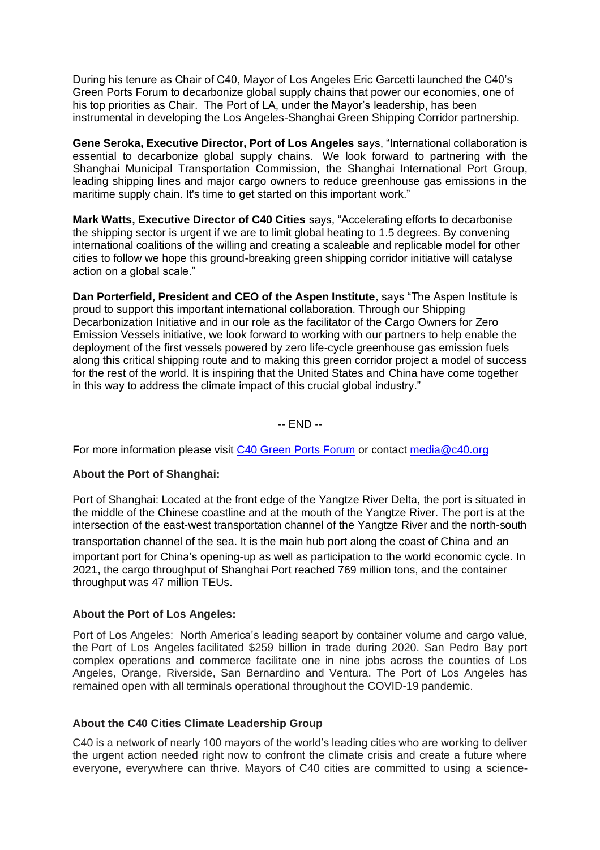During his tenure as Chair of C40, Mayor of Los Angeles Eric Garcetti launched the C40's Green Ports Forum to decarbonize global supply chains that power our economies, one of his top priorities as Chair. The Port of LA, under the Mayor's leadership, has been instrumental in developing the Los Angeles-Shanghai Green Shipping Corridor partnership.

**Gene Seroka, Executive Director, Port of Los Angeles** says, "International collaboration is essential to decarbonize global supply chains. We look forward to partnering with the Shanghai Municipal Transportation Commission, the Shanghai International Port Group, leading shipping lines and major cargo owners to reduce greenhouse gas emissions in the maritime supply chain. It's time to get started on this important work."

**Mark Watts, Executive Director of C40 Cities** says, "Accelerating efforts to decarbonise the shipping sector is urgent if we are to limit global heating to 1.5 degrees. By convening international coalitions of the willing and creating a scaleable and replicable model for other cities to follow we hope this ground-breaking green shipping corridor initiative will catalyse action on a global scale."

**Dan Porterfield, President and CEO of the Aspen Institute**, says "The Aspen Institute is proud to support this important international collaboration. Through our Shipping Decarbonization Initiative and in our role as the facilitator of the Cargo Owners for Zero Emission Vessels initiative, we look forward to working with our partners to help enable the deployment of the first vessels powered by zero life-cycle greenhouse gas emission fuels along this critical shipping route and to making this green corridor project a model of success for the rest of the world. It is inspiring that the United States and China have come together in this way to address the climate impact of this crucial global industry."

-- END --

For more information please visit [C40 Green Ports Forum](https://www.c40.org/what-we-do/scaling-up-climate-action/air-quality/green-ports-forum/?gclid=EAIaIQobChMI48rq0I7B9QIVCe3tCh0xwwZwEAAYASAAEgItQ_D_BwE) or contact [media@c40.org](mailto:media@c40.org)

## **About the Port of Shanghai:**

Port of Shanghai: Located at the front edge of the Yangtze River Delta, the port is situated in the middle of the Chinese coastline and at the mouth of the Yangtze River. The port is at the intersection of the east-west transportation channel of the Yangtze River and the north-south transportation channel of the sea. It is the main hub port along the coast of China and an important port for China's opening-up as well as participation to the world economic cycle. In 2021, the cargo throughput of Shanghai Port reached 769 million tons, and the container throughput was 47 million TEUs.

#### **About the Port of Los Angeles:**

Port of Los Angeles: North America's leading seaport by container volume and cargo value, the [Port of Los Angeles](http://www.portofla.org/) facilitated \$259 billion in trade during 2020. San Pedro Bay port complex operations and commerce facilitate one in nine jobs across the counties of Los Angeles, Orange, Riverside, San Bernardino and Ventura. The Port of Los Angeles has remained open with all terminals [operational](https://www.portoflosangeles.org/business/operations) throughout the COVID-19 pandemic.

### **About the C40 Cities Climate Leadership Group**

C40 is a network of nearly 100 mayors of the world's leading cities who are working to deliver the urgent action needed right now to confront the climate crisis and create a future where everyone, everywhere can thrive. Mayors of C40 cities are committed to using a science